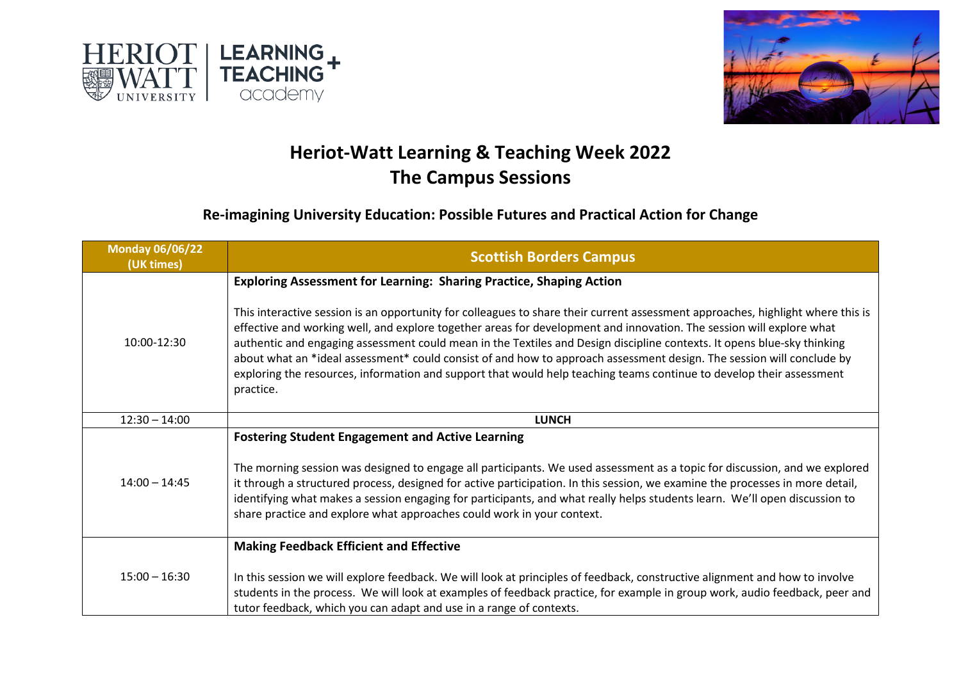



## **Heriot-Watt Learning & Teaching Week 2022 The Campus Sessions**

## **Re-imagining University Education: Possible Futures and Practical Action for Change**

| <b>Monday 06/06/22</b><br>(UK times) | <b>Scottish Borders Campus</b>                                                                                                                                                                                                                                                                                                                                                                                                                                                                                                                                                                                                                                                                                                 |
|--------------------------------------|--------------------------------------------------------------------------------------------------------------------------------------------------------------------------------------------------------------------------------------------------------------------------------------------------------------------------------------------------------------------------------------------------------------------------------------------------------------------------------------------------------------------------------------------------------------------------------------------------------------------------------------------------------------------------------------------------------------------------------|
| 10:00-12:30                          | <b>Exploring Assessment for Learning: Sharing Practice, Shaping Action</b><br>This interactive session is an opportunity for colleagues to share their current assessment approaches, highlight where this is<br>effective and working well, and explore together areas for development and innovation. The session will explore what<br>authentic and engaging assessment could mean in the Textiles and Design discipline contexts. It opens blue-sky thinking<br>about what an *ideal assessment* could consist of and how to approach assessment design. The session will conclude by<br>exploring the resources, information and support that would help teaching teams continue to develop their assessment<br>practice. |
| $12:30 - 14:00$                      | <b>LUNCH</b>                                                                                                                                                                                                                                                                                                                                                                                                                                                                                                                                                                                                                                                                                                                   |
| $14:00 - 14:45$                      | <b>Fostering Student Engagement and Active Learning</b><br>The morning session was designed to engage all participants. We used assessment as a topic for discussion, and we explored<br>it through a structured process, designed for active participation. In this session, we examine the processes in more detail,<br>identifying what makes a session engaging for participants, and what really helps students learn. We'll open discussion to<br>share practice and explore what approaches could work in your context.                                                                                                                                                                                                 |
| $15:00 - 16:30$                      | <b>Making Feedback Efficient and Effective</b><br>In this session we will explore feedback. We will look at principles of feedback, constructive alignment and how to involve<br>students in the process. We will look at examples of feedback practice, for example in group work, audio feedback, peer and<br>tutor feedback, which you can adapt and use in a range of contexts.                                                                                                                                                                                                                                                                                                                                            |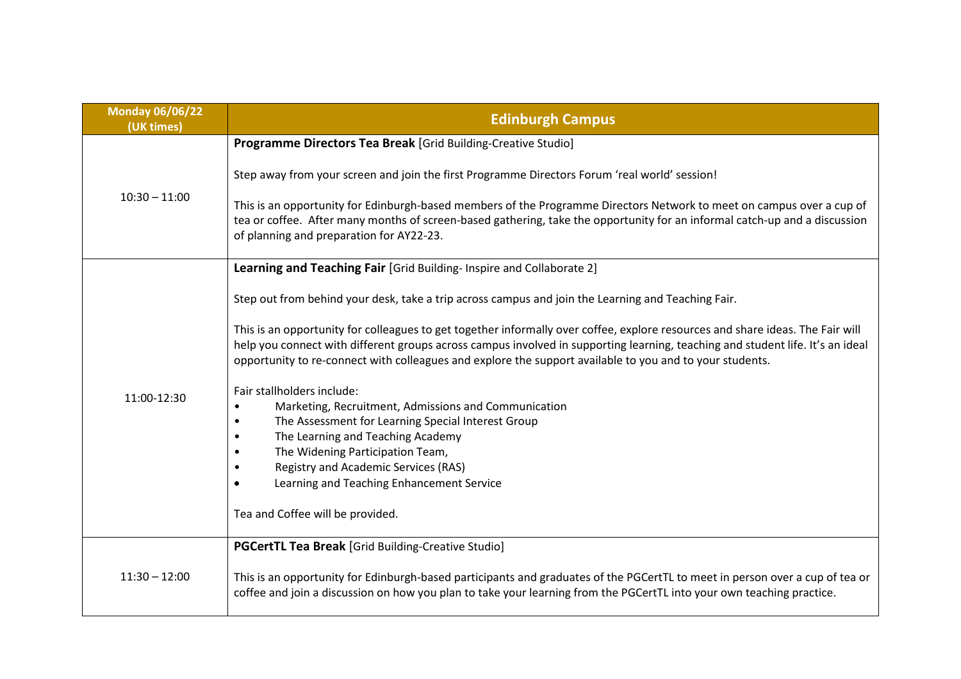| <b>Monday 06/06/22</b><br>(UK times) | <b>Edinburgh Campus</b>                                                                                                                                                                                                                                                                                                                                                      |
|--------------------------------------|------------------------------------------------------------------------------------------------------------------------------------------------------------------------------------------------------------------------------------------------------------------------------------------------------------------------------------------------------------------------------|
| $10:30 - 11:00$                      | Programme Directors Tea Break [Grid Building-Creative Studio]                                                                                                                                                                                                                                                                                                                |
|                                      | Step away from your screen and join the first Programme Directors Forum 'real world' session!                                                                                                                                                                                                                                                                                |
|                                      | This is an opportunity for Edinburgh-based members of the Programme Directors Network to meet on campus over a cup of<br>tea or coffee. After many months of screen-based gathering, take the opportunity for an informal catch-up and a discussion<br>of planning and preparation for AY22-23.                                                                              |
|                                      | Learning and Teaching Fair [Grid Building-Inspire and Collaborate 2]                                                                                                                                                                                                                                                                                                         |
|                                      | Step out from behind your desk, take a trip across campus and join the Learning and Teaching Fair.                                                                                                                                                                                                                                                                           |
|                                      | This is an opportunity for colleagues to get together informally over coffee, explore resources and share ideas. The Fair will<br>help you connect with different groups across campus involved in supporting learning, teaching and student life. It's an ideal<br>opportunity to re-connect with colleagues and explore the support available to you and to your students. |
|                                      | Fair stallholders include:                                                                                                                                                                                                                                                                                                                                                   |
| 11:00-12:30                          | Marketing, Recruitment, Admissions and Communication<br>$\bullet$                                                                                                                                                                                                                                                                                                            |
|                                      | The Assessment for Learning Special Interest Group<br>$\bullet$                                                                                                                                                                                                                                                                                                              |
|                                      | The Learning and Teaching Academy                                                                                                                                                                                                                                                                                                                                            |
|                                      | The Widening Participation Team,<br><b>Registry and Academic Services (RAS)</b><br>$\bullet$                                                                                                                                                                                                                                                                                 |
|                                      | Learning and Teaching Enhancement Service                                                                                                                                                                                                                                                                                                                                    |
|                                      |                                                                                                                                                                                                                                                                                                                                                                              |
|                                      | Tea and Coffee will be provided.                                                                                                                                                                                                                                                                                                                                             |
| $11:30 - 12:00$                      | <b>PGCertTL Tea Break</b> [Grid Building-Creative Studio]                                                                                                                                                                                                                                                                                                                    |
|                                      | This is an opportunity for Edinburgh-based participants and graduates of the PGCertTL to meet in person over a cup of tea or<br>coffee and join a discussion on how you plan to take your learning from the PGCertTL into your own teaching practice.                                                                                                                        |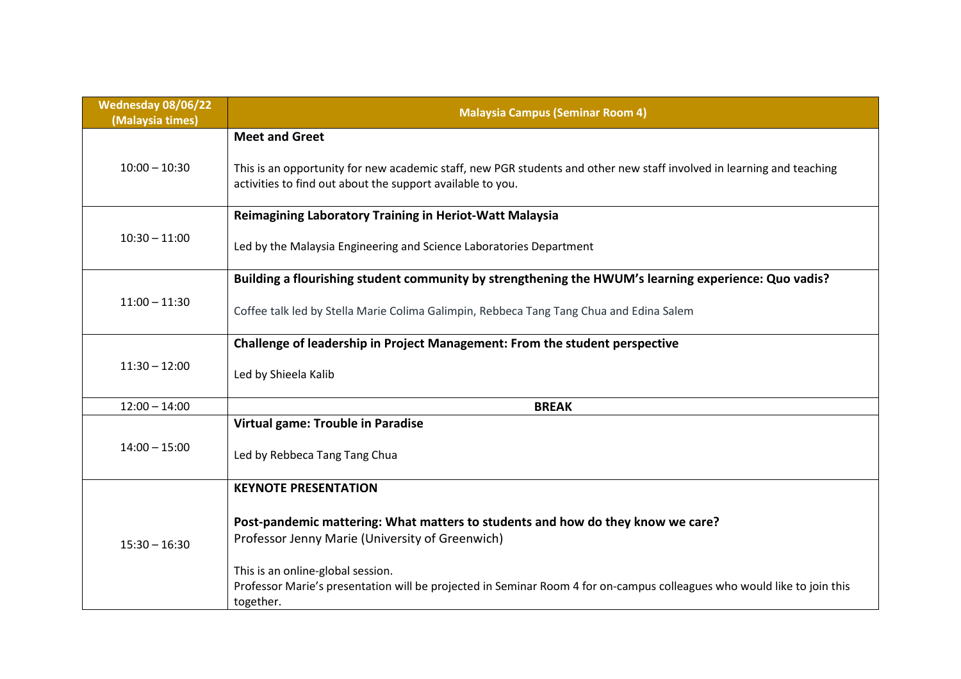| Wednesday 08/06/22<br>(Malaysia times) | <b>Malaysia Campus (Seminar Room 4)</b>                                                                                                                                             |
|----------------------------------------|-------------------------------------------------------------------------------------------------------------------------------------------------------------------------------------|
| $10:00 - 10:30$                        | <b>Meet and Greet</b>                                                                                                                                                               |
|                                        | This is an opportunity for new academic staff, new PGR students and other new staff involved in learning and teaching<br>activities to find out about the support available to you. |
| $10:30 - 11:00$                        | <b>Reimagining Laboratory Training in Heriot-Watt Malaysia</b>                                                                                                                      |
|                                        | Led by the Malaysia Engineering and Science Laboratories Department                                                                                                                 |
| $11:00 - 11:30$                        | Building a flourishing student community by strengthening the HWUM's learning experience: Quo vadis?                                                                                |
|                                        | Coffee talk led by Stella Marie Colima Galimpin, Rebbeca Tang Tang Chua and Edina Salem                                                                                             |
| $11:30 - 12:00$                        | Challenge of leadership in Project Management: From the student perspective                                                                                                         |
|                                        | Led by Shieela Kalib                                                                                                                                                                |
| $12:00 - 14:00$                        | <b>BREAK</b>                                                                                                                                                                        |
|                                        | Virtual game: Trouble in Paradise                                                                                                                                                   |
| $14:00 - 15:00$                        | Led by Rebbeca Tang Tang Chua                                                                                                                                                       |
| $15:30 - 16:30$                        | <b>KEYNOTE PRESENTATION</b>                                                                                                                                                         |
|                                        | Post-pandemic mattering: What matters to students and how do they know we care?<br>Professor Jenny Marie (University of Greenwich)<br>This is an online-global session.             |
|                                        | Professor Marie's presentation will be projected in Seminar Room 4 for on-campus colleagues who would like to join this<br>together.                                                |